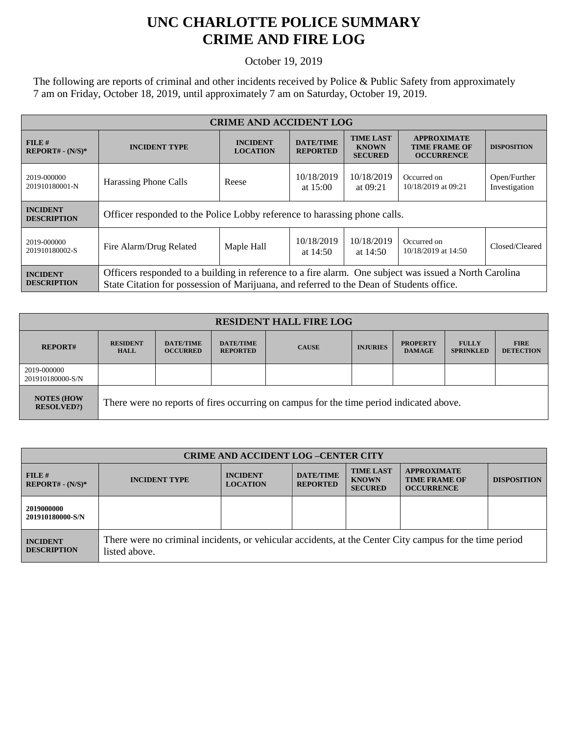## **UNC CHARLOTTE POLICE SUMMARY CRIME AND FIRE LOG**

October 19, 2019

The following are reports of criminal and other incidents received by Police & Public Safety from approximately 7 am on Friday, October 18, 2019, until approximately 7 am on Saturday, October 19, 2019.

| <b>CRIME AND ACCIDENT LOG</b>         |                                                                                                                                                                                                    |                                    |                                     |                                                    |                                                                 |                               |
|---------------------------------------|----------------------------------------------------------------------------------------------------------------------------------------------------------------------------------------------------|------------------------------------|-------------------------------------|----------------------------------------------------|-----------------------------------------------------------------|-------------------------------|
| FILE#<br>$REPORT# - (N/S)*$           | <b>INCIDENT TYPE</b>                                                                                                                                                                               | <b>INCIDENT</b><br><b>LOCATION</b> | <b>DATE/TIME</b><br><b>REPORTED</b> | <b>TIME LAST</b><br><b>KNOWN</b><br><b>SECURED</b> | <b>APPROXIMATE</b><br><b>TIME FRAME OF</b><br><b>OCCURRENCE</b> | <b>DISPOSITION</b>            |
| 2019-000000<br>201910180001-N         | Harassing Phone Calls                                                                                                                                                                              | Reese                              | 10/18/2019<br>at $15:00$            | 10/18/2019<br>at 09:21                             | Occurred on<br>10/18/2019 at 09:21                              | Open/Further<br>Investigation |
| <b>INCIDENT</b><br><b>DESCRIPTION</b> | Officer responded to the Police Lobby reference to harassing phone calls.                                                                                                                          |                                    |                                     |                                                    |                                                                 |                               |
| 2019-000000<br>201910180002-S         | Fire Alarm/Drug Related                                                                                                                                                                            | Maple Hall                         | 10/18/2019<br>at $14:50$            | 10/18/2019<br>at $14:50$                           | Occurred on<br>10/18/2019 at 14:50                              | Closed/Cleared                |
| <b>INCIDENT</b><br><b>DESCRIPTION</b> | Officers responded to a building in reference to a fire alarm. One subject was issued a North Carolina<br>State Citation for possession of Marijuana, and referred to the Dean of Students office. |                                    |                                     |                                                    |                                                                 |                               |

| <b>RESIDENT HALL FIRE LOG</b>         |                                                                                         |                                     |                                     |              |                 |                                  |                                  |                                 |
|---------------------------------------|-----------------------------------------------------------------------------------------|-------------------------------------|-------------------------------------|--------------|-----------------|----------------------------------|----------------------------------|---------------------------------|
| <b>REPORT#</b>                        | <b>RESIDENT</b><br><b>HALL</b>                                                          | <b>DATE/TIME</b><br><b>OCCURRED</b> | <b>DATE/TIME</b><br><b>REPORTED</b> | <b>CAUSE</b> | <b>INJURIES</b> | <b>PROPERTY</b><br><b>DAMAGE</b> | <b>FULLY</b><br><b>SPRINKLED</b> | <b>FIRE</b><br><b>DETECTION</b> |
| 2019-000000<br>201910180000-S/N       |                                                                                         |                                     |                                     |              |                 |                                  |                                  |                                 |
| <b>NOTES (HOW</b><br><b>RESOLVED?</b> | There were no reports of fires occurring on campus for the time period indicated above. |                                     |                                     |              |                 |                                  |                                  |                                 |

| <b>CRIME AND ACCIDENT LOG-CENTER CITY</b> |                                                                                                                          |                                    |                                     |                                                    |                                                                 |                    |  |
|-------------------------------------------|--------------------------------------------------------------------------------------------------------------------------|------------------------------------|-------------------------------------|----------------------------------------------------|-----------------------------------------------------------------|--------------------|--|
| $FILE$ #<br>$REPORT# - (N/S)*$            | <b>INCIDENT TYPE</b>                                                                                                     | <b>INCIDENT</b><br><b>LOCATION</b> | <b>DATE/TIME</b><br><b>REPORTED</b> | <b>TIME LAST</b><br><b>KNOWN</b><br><b>SECURED</b> | <b>APPROXIMATE</b><br><b>TIME FRAME OF</b><br><b>OCCURRENCE</b> | <b>DISPOSITION</b> |  |
| 2019000000<br>201910180000-S/N            |                                                                                                                          |                                    |                                     |                                                    |                                                                 |                    |  |
| <b>INCIDENT</b><br><b>DESCRIPTION</b>     | There were no criminal incidents, or vehicular accidents, at the Center City campus for the time period<br>listed above. |                                    |                                     |                                                    |                                                                 |                    |  |